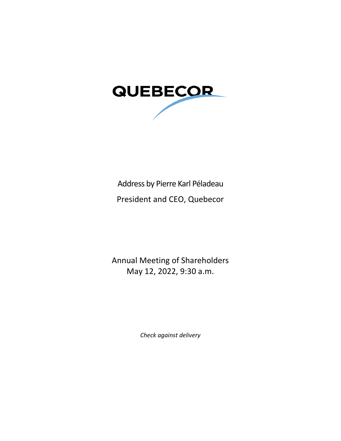

# Address by Pierre Karl Péladeau

President and CEO, Quebecor

Annual Meeting of Shareholders May 12, 2022, 9:30 a.m.

*Check against delivery*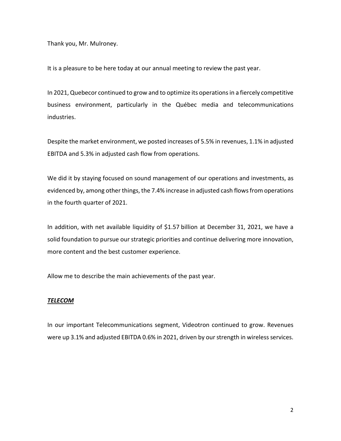Thank you, Mr. Mulroney.

It is a pleasure to be here today at our annual meeting to review the past year.

In 2021, Quebecor continued to grow and to optimize its operations in a fiercely competitive business environment, particularly in the Québec media and telecommunications industries.

Despite the market environment, we posted increases of 5.5% in revenues, 1.1% in adjusted EBITDA and 5.3% in adjusted cash flow from operations.

We did it by staying focused on sound management of our operations and investments, as evidenced by, among other things, the 7.4% increase in adjusted cash flows from operations in the fourth quarter of 2021.

In addition, with net available liquidity of \$1.57 billion at December 31, 2021, we have a solid foundation to pursue our strategic priorities and continue delivering more innovation, more content and the best customer experience.

Allow me to describe the main achievements of the past year.

#### *TELECOM*

In our important Telecommunications segment, Videotron continued to grow. Revenues were up 3.1% and adjusted EBITDA 0.6% in 2021, driven by our strength in wireless services.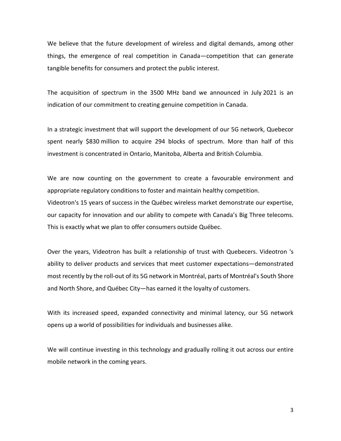We believe that the future development of wireless and digital demands, among other things, the emergence of real competition in Canada—competition that can generate tangible benefits for consumers and protect the public interest.

The acquisition of spectrum in the 3500 MHz band we announced in July 2021 is an indication of our commitment to creating genuine competition in Canada.

In a strategic investment that will support the development of our 5G network, Quebecor spent nearly \$830 million to acquire 294 blocks of spectrum. More than half of this investment is concentrated in Ontario, Manitoba, Alberta and British Columbia.

We are now counting on the government to create a favourable environment and appropriate regulatory conditions to foster and maintain healthy competition. Videotron's 15 years of success in the Québec wireless market demonstrate our expertise, our capacity for innovation and our ability to compete with Canada's Big Three telecoms. This is exactly what we plan to offer consumers outside Québec.

Over the years, Videotron has built a relationship of trust with Quebecers. Videotron 's ability to deliver products and services that meet customer expectations—demonstrated most recently by the roll-out of its 5G network in Montréal, parts of Montréal's South Shore and North Shore, and Québec City—has earned it the loyalty of customers.

With its increased speed, expanded connectivity and minimal latency, our 5G network opens up a world of possibilities for individuals and businesses alike.

We will continue investing in this technology and gradually rolling it out across our entire mobile network in the coming years.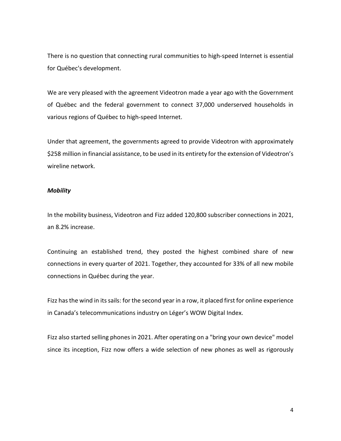There is no question that connecting rural communities to high-speed Internet is essential for Québec's development.

We are very pleased with the agreement Videotron made a year ago with the Government of Québec and the federal government to connect 37,000 underserved households in various regions of Québec to high-speed Internet.

Under that agreement, the governments agreed to provide Videotron with approximately \$258 million in financial assistance, to be used in its entirety for the extension of Videotron's wireline network.

#### *Mobility*

In the mobility business, Videotron and Fizz added 120,800 subscriber connections in 2021, an 8.2% increase.

Continuing an established trend, they posted the highest combined share of new connections in every quarter of 2021. Together, they accounted for 33% of all new mobile connections in Québec during the year.

Fizz has the wind in its sails: for the second year in a row, it placed first for online experience in Canada's telecommunications industry on Léger's WOW Digital Index.

Fizz also started selling phones in 2021. After operating on a "bring your own device" model since its inception, Fizz now offers a wide selection of new phones as well as rigorously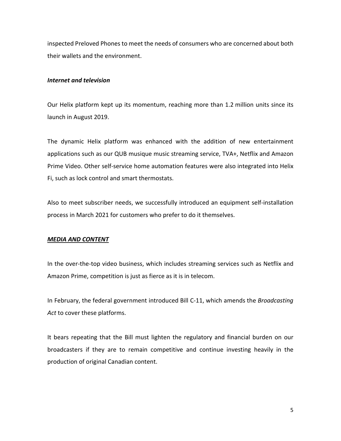inspected Preloved Phones to meet the needs of consumers who are concerned about both their wallets and the environment.

### *Internet and television*

Our Helix platform kept up its momentum, reaching more than 1.2 million units since its launch in August 2019.

The dynamic Helix platform was enhanced with the addition of new entertainment applications such as our QUB musique music streaming service, TVA+, Netflix and Amazon Prime Video. Other self-service home automation features were also integrated into Helix Fi, such as lock control and smart thermostats.

Also to meet subscriber needs, we successfully introduced an equipment self-installation process in March 2021 for customers who prefer to do it themselves.

## *MEDIA AND CONTENT*

In the over-the-top video business, which includes streaming services such as Netflix and Amazon Prime, competition is just as fierce as it is in telecom.

In February, the federal government introduced Bill C-11, which amends the *Broadcasting Act* to cover these platforms.

It bears repeating that the Bill must lighten the regulatory and financial burden on our broadcasters if they are to remain competitive and continue investing heavily in the production of original Canadian content.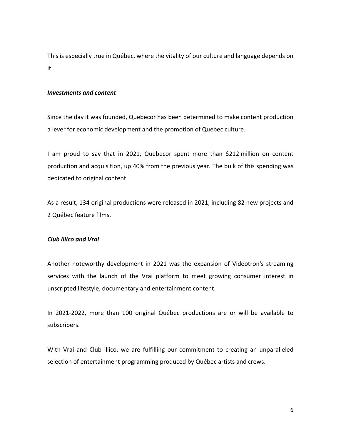This is especially true in Québec, where the vitality of our culture and language depends on it.

#### *Investments and content*

Since the day it was founded, Quebecor has been determined to make content production a lever for economic development and the promotion of Québec culture.

I am proud to say that in 2021, Quebecor spent more than \$212 million on content production and acquisition, up 40% from the previous year. The bulk of this spending was dedicated to original content.

As a result, 134 original productions were released in 2021, including 82 new projects and 2 Québec feature films.

## *Club illico and Vrai*

Another noteworthy development in 2021 was the expansion of Videotron's streaming services with the launch of the Vrai platform to meet growing consumer interest in unscripted lifestyle, documentary and entertainment content.

In 2021-2022, more than 100 original Québec productions are or will be available to subscribers.

With Vrai and Club illico, we are fulfilling our commitment to creating an unparalleled selection of entertainment programming produced by Québec artists and crews.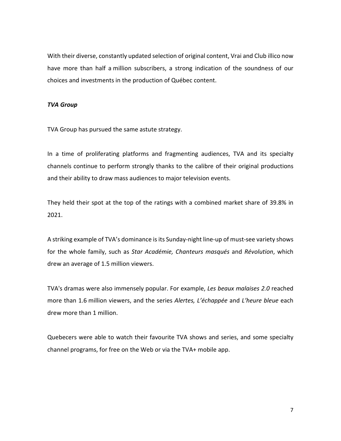With their diverse, constantly updated selection of original content, Vrai and Club illico now have more than half a million subscribers, a strong indication of the soundness of our choices and investments in the production of Québec content.

## *TVA Group*

TVA Group has pursued the same astute strategy.

In a time of proliferating platforms and fragmenting audiences, TVA and its specialty channels continue to perform strongly thanks to the calibre of their original productions and their ability to draw mass audiences to major television events.

They held their spot at the top of the ratings with a combined market share of 39.8% in 2021.

A striking example of TVA's dominance is its Sunday-night line-up of must-see variety shows for the whole family, such as *Star Académie, Chanteurs masqués* and *Révolution*, which drew an average of 1.5 million viewers.

TVA's dramas were also immensely popular. For example, *Les beaux malaises 2.0* reached more than 1.6 million viewers, and the series *Alertes, L'échappée* and *L'heure bleue* each drew more than 1 million.

Quebecers were able to watch their favourite TVA shows and series, and some specialty channel programs, for free on the Web or via the TVA+ mobile app.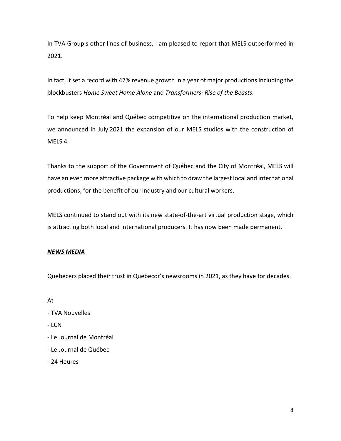In TVA Group's other lines of business, I am pleased to report that MELS outperformed in 2021.

In fact, it set a record with 47% revenue growth in a year of major productions including the blockbusters *Home Sweet Home Alone* and *Transformers: Rise of the Beasts*.

To help keep Montréal and Québec competitive on the international production market, we announced in July 2021 the expansion of our MELS studios with the construction of MELS 4.

Thanks to the support of the Government of Québec and the City of Montréal, MELS will have an even more attractive package with which to draw the largest local and international productions, for the benefit of our industry and our cultural workers.

MELS continued to stand out with its new state-of-the-art virtual production stage, which is attracting both local and international producers. It has now been made permanent.

# *NEWS MEDIA*

Quebecers placed their trust in Quebecor's newsrooms in 2021, as they have for decades.

At

- TVA Nouvelles
- LCN
- Le Journal de Montréal
- Le Journal de Québec
- 24 Heures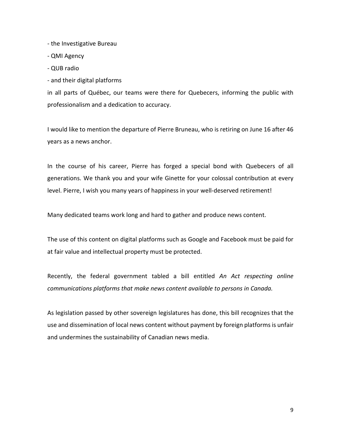- the Investigative Bureau

- QMI Agency
- QUB radio
- and their digital platforms

in all parts of Québec, our teams were there for Quebecers, informing the public with professionalism and a dedication to accuracy.

I would like to mention the departure of Pierre Bruneau, who is retiring on June 16 after 46 years as a news anchor.

In the course of his career, Pierre has forged a special bond with Quebecers of all generations. We thank you and your wife Ginette for your colossal contribution at every level. Pierre, I wish you many years of happiness in your well-deserved retirement!

Many dedicated teams work long and hard to gather and produce news content.

The use of this content on digital platforms such as Google and Facebook must be paid for at fair value and intellectual property must be protected.

Recently, the federal government tabled a bill entitled *An Act respecting online communications platforms that make news content available to persons in Canada.*

As legislation passed by other sovereign legislatures has done, this bill recognizes that the use and dissemination of local news content without payment by foreign platforms is unfair and undermines the sustainability of Canadian news media.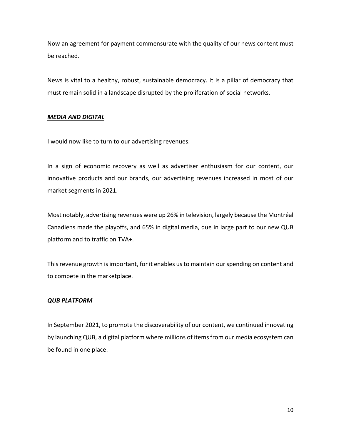Now an agreement for payment commensurate with the quality of our news content must be reached.

News is vital to a healthy, robust, sustainable democracy. It is a pillar of democracy that must remain solid in a landscape disrupted by the proliferation of social networks.

## *MEDIA AND DIGITAL*

I would now like to turn to our advertising revenues.

In a sign of economic recovery as well as advertiser enthusiasm for our content, our innovative products and our brands, our advertising revenues increased in most of our market segments in 2021.

Most notably, advertising revenues were up 26% in television, largely because the Montréal Canadiens made the playoffs, and 65% in digital media, due in large part to our new QUB platform and to traffic on TVA+.

This revenue growth is important, for it enables us to maintain our spending on content and to compete in the marketplace.

# *QUB PLATFORM*

In September 2021, to promote the discoverability of our content, we continued innovating by launching QUB, a digital platform where millions of items from our media ecosystem can be found in one place.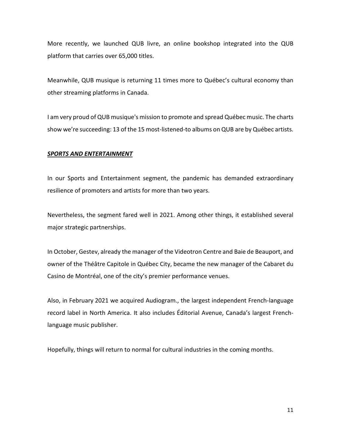More recently, we launched QUB livre, an online bookshop integrated into the QUB platform that carries over 65,000 titles.

Meanwhile, QUB musique is returning 11 times more to Québec's cultural economy than other streaming platforms in Canada.

I am very proud of QUB musique's mission to promote and spread Québec music. The charts show we're succeeding: 13 of the 15 most-listened-to albums on QUB are by Québec artists.

# *SPORTS AND ENTERTAINMENT*

In our Sports and Entertainment segment, the pandemic has demanded extraordinary resilience of promoters and artists for more than two years.

Nevertheless, the segment fared well in 2021. Among other things, it established several major strategic partnerships.

In October, Gestev, already the manager of the Videotron Centre and Baie de Beauport, and owner of the Théâtre Capitole in Québec City, became the new manager of the Cabaret du Casino de Montréal, one of the city's premier performance venues.

Also, in February 2021 we acquired Audiogram., the largest independent French-language record label in North America. It also includes Éditorial Avenue, Canada's largest Frenchlanguage music publisher.

Hopefully, things will return to normal for cultural industries in the coming months.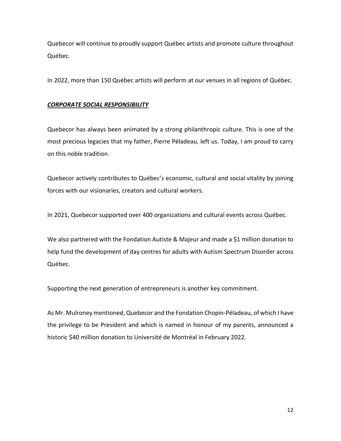Quebecor will continue to proudly support Québec artists and promote culture throughout Québec.

In 2022, more than 150 Québec artists will perform at our venues in all regions of Québec.

# *CORPORATE SOCIAL RESPONSIBILITY*

Quebecor has always been animated by a strong philanthropic culture. This is one of the most precious legacies that my father, Pierre Péladeau, left us. Today, I am proud to carry on this noble tradition.

Quebecor actively contributes to Québec's economic, cultural and social vitality by joining forces with our visionaries, creators and cultural workers.

In 2021, Quebecor supported over 400 organizations and cultural events across Québec.

We also partnered with the Fondation Autiste & Majeur and made a \$1 million donation to help fund the development of day centres for adults with Autism Spectrum Disorder across Québec.

Supporting the next generation of entrepreneurs is another key commitment.

As Mr. Mulroney mentioned, Quebecor and the Fondation Chopin-Péladeau, of which I have the privilege to be President and which is named in honour of my parents, announced a historic \$40 million donation to Université de Montréal in February 2022.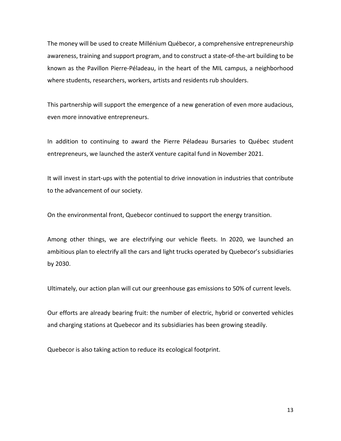The money will be used to create Millénium Québecor, a comprehensive entrepreneurship awareness, training and support program, and to construct a state-of-the-art building to be known as the Pavillon Pierre-Péladeau, in the heart of the MIL campus, a neighborhood where students, researchers, workers, artists and residents rub shoulders.

This partnership will support the emergence of a new generation of even more audacious, even more innovative entrepreneurs.

In addition to continuing to award the Pierre Péladeau Bursaries to Québec student entrepreneurs, we launched the asterX venture capital fund in November 2021.

It will invest in start-ups with the potential to drive innovation in industries that contribute to the advancement of our society.

On the environmental front, Quebecor continued to support the energy transition.

Among other things, we are electrifying our vehicle fleets. In 2020, we launched an ambitious plan to electrify all the cars and light trucks operated by Quebecor's subsidiaries by 2030.

Ultimately, our action plan will cut our greenhouse gas emissions to 50% of current levels.

Our efforts are already bearing fruit: the number of electric, hybrid or converted vehicles and charging stations at Quebecor and its subsidiaries has been growing steadily.

Quebecor is also taking action to reduce its ecological footprint.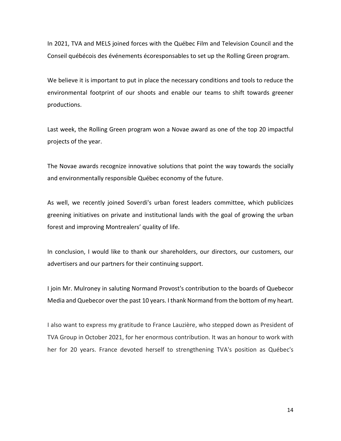In 2021, TVA and MELS joined forces with the Québec Film and Television Council and the Conseil québécois des événements écoresponsables to set up the Rolling Green program.

We believe it is important to put in place the necessary conditions and tools to reduce the environmental footprint of our shoots and enable our teams to shift towards greener productions.

Last week, the Rolling Green program won a Novae award as one of the top 20 impactful projects of the year.

The Novae awards recognize innovative solutions that point the way towards the socially and environmentally responsible Québec economy of the future.

As well, we recently joined Soverdi's urban forest leaders committee, which publicizes greening initiatives on private and institutional lands with the goal of growing the urban forest and improving Montrealers' quality of life.

In conclusion, I would like to thank our shareholders, our directors, our customers, our advertisers and our partners for their continuing support.

I join Mr. Mulroney in saluting Normand Provost's contribution to the boards of Quebecor Media and Quebecor over the past 10 years. I thank Normand from the bottom of my heart.

I also want to express my gratitude to France Lauzière, who stepped down as President of TVA Group in October 2021, for her enormous contribution. It was an honour to work with her for 20 years. France devoted herself to strengthening TVA's position as Québec's